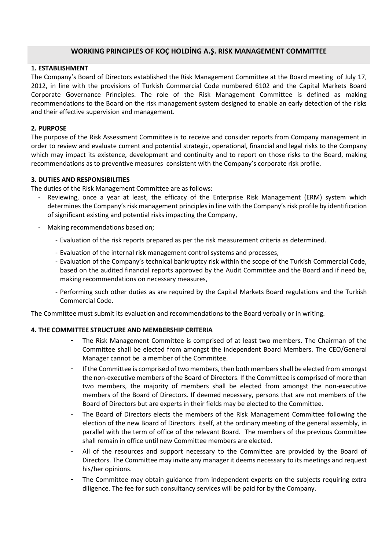# **WORKING PRINCIPLES OF KOÇ HOLDİNG A.Ş. RISK MANAGEMENT COMMITTEE**

### **1. ESTABLISHMENT**

The Company's Board of Directors established the Risk Management Committee at the Board meeting of July 17, 2012, in line with the provisions of Turkish Commercial Code numbered 6102 and the Capital Markets Board Corporate Governance Principles. The role of the Risk Management Committee is defined as making recommendations to the Board on the risk management system designed to enable an early detection of the risks and their effective supervision and management.

#### **2. PURPOSE**

The purpose of the Risk Assessment Committee is to receive and consider reports from Company management in order to review and evaluate current and potential strategic, operational, financial and legal risks to the Company which may impact its existence, development and continuity and to report on those risks to the Board, making recommendations as to preventive measures consistent with the Company's corporate risk profile.

#### **3. DUTIES AND RESPONSIBILITIES**

The duties of the Risk Management Committee are as follows:

- Reviewing, once a year at least, the efficacy of the Enterprise Risk Management (ERM) system which determines the Company's risk management principles in line with the Company's risk profile by identification of significant existing and potential risks impacting the Company,
- Making recommendations based on;
	- Evaluation of the risk reports prepared as per the risk measurement criteria as determined.
	- Evaluation of the internal risk management control systems and processes,
	- Evaluation of the Company's technical bankruptcy risk within the scope of the Turkish Commercial Code, based on the audited financial reports approved by the Audit Committee and the Board and if need be, making recommendations on necessary measures,
	- Performing such other duties as are required by the Capital Markets Board regulations and the Turkish Commercial Code.

The Committee must submit its evaluation and recommendations to the Board verbally or in writing.

### **4. THE COMMITTEE STRUCTURE AND MEMBERSHIP CRITERIA**

- The Risk Management Committee is comprised of at least two members. The Chairman of the Committee shall be elected from amongst the independent Board Members. The CEO/General Manager cannot be a member of the Committee.
- If the Committee is comprised of two members, then both members shall be elected from amongst the non-executive members of the Board of Directors. If the Committee is comprised of more than two members, the majority of members shall be elected from amongst the non-executive members of the Board of Directors. If deemed necessary, persons that are not members of the Board of Directors but are experts in their fields may be elected to the Committee.
- The Board of Directors elects the members of the Risk Management Committee following the election of the new Board of Directors itself, at the ordinary meeting of the general assembly, in parallel with the term of office of the relevant Board. The members of the previous Committee shall remain in office until new Committee members are elected.
- All of the resources and support necessary to the Committee are provided by the Board of Directors. The Committee may invite any manager it deems necessary to its meetings and request his/her opinions.
- The Committee may obtain guidance from independent experts on the subjects requiring extra diligence. The fee for such consultancy services will be paid for by the Company.